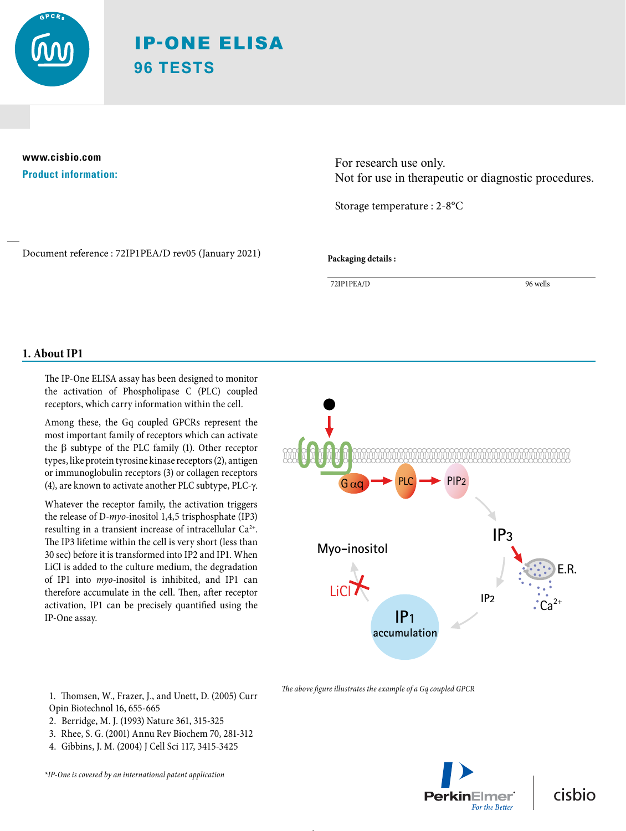

# IP-ONE ELISA **96 TESTS**

## **www.cisbio.com Product information:**

For research use only. Not for use in therapeutic or diagnostic procedures.

Storage temperature : 2-8°C

Document reference : 72IP1PEA/D rev05 (January 2021)

**Packaging details :**

72IP1PEA/D 96 wells

## **1. About IP1**

The IP-One ELISA assay has been designed to monitor the activation of Phospholipase C (PLC) coupled receptors, which carry information within the cell.

Among these, the Gq coupled GPCRs represent the most important family of receptors which can activate the  $\beta$  subtype of the PLC family (1). Other receptor types, like protein tyrosine kinase receptors (2), antigen or immunoglobulin receptors (3) or collagen receptors (4), are known to activate another PLC subtype, PLC- $\gamma$ .

Whatever the receptor family, the activation triggers the release of D-*myo*-inositol 1,4,5 trisphosphate (IP3) resulting in a transient increase of intracellular  $Ca^{2+}$ . The IP3 lifetime within the cell is very short (less than 30 sec) before it is transformed into IP2 and IP1. When LiCl is added to the culture medium, the degradation of IP1 into *myo*-inositol is inhibited, and IP1 can therefore accumulate in the cell. Then, after receptor activation, IP1 can be precisely quantified using the IP-One assay.

1. Thomsen, W., Frazer, J., and Unett, D. (2005) Curr Opin Biotechnol 16, 655-665

- 2. Berridge, M. J. (1993) Nature 361, 315-325
- 3. Rhee, S. G. (2001) Annu Rev Biochem 70, 281-312
- 4. Gibbins, J. M. (2004) J Cell Sci 117, 3415-3425

*\*IP-One is covered by an international patent application*



*The above figure illustrates the example of a Gq coupled GPCR*

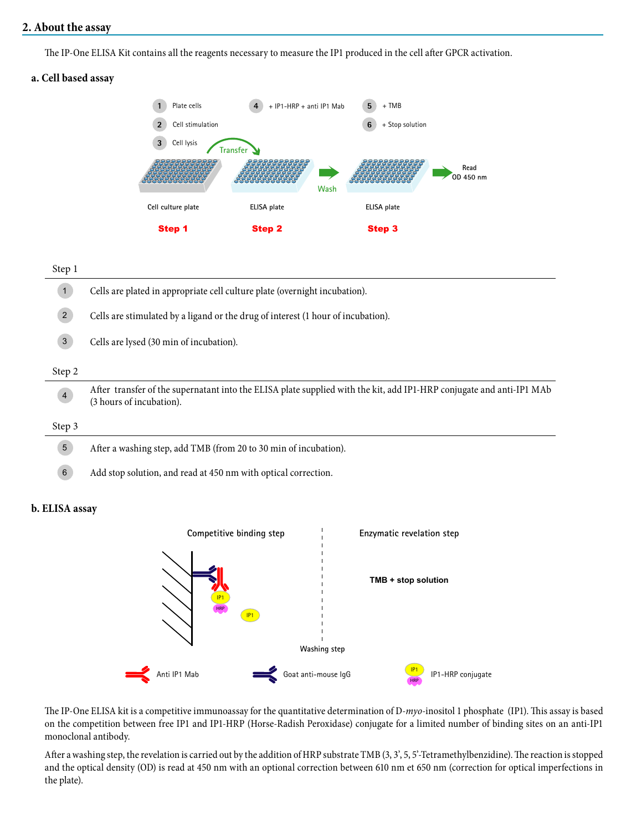## **2. About the assay**

The IP-One ELISA Kit contains all the reagents necessary to measure the IP1 produced in the cell after GPCR activation.

## **a. Cell based assay**



#### Step 1

| $\sqrt{1}$     | Cells are plated in appropriate cell culture plate (overnight incubation).                                                                       |  |  |  |
|----------------|--------------------------------------------------------------------------------------------------------------------------------------------------|--|--|--|
| $\overline{2}$ | Cells are stimulated by a ligand or the drug of interest (1 hour of incubation).                                                                 |  |  |  |
| $\mathbf{3}$   | Cells are lysed (30 min of incubation).                                                                                                          |  |  |  |
| Step 2         |                                                                                                                                                  |  |  |  |
| $\overline{4}$ | After transfer of the supernatant into the ELISA plate supplied with the kit, add IP1-HRP conjugate and anti-IP1 MAb<br>(3 hours of incubation). |  |  |  |
| Step 3         |                                                                                                                                                  |  |  |  |
| $\overline{5}$ | After a washing step, add TMB (from 20 to 30 min of incubation).                                                                                 |  |  |  |
| $\,6\,$        | Add stop solution, and read at 450 nm with optical correction.                                                                                   |  |  |  |

#### **b. ELISA assay**



The IP-One ELISA kit is a competitive immunoassay for the quantitative determination of D-*myo*-inositol 1 phosphate (IP1). This assay is based on the competition between free IP1 and IP1-HRP (Horse-Radish Peroxidase) conjugate for a limited number of binding sites on an anti-IP1 monoclonal antibody.

After a washing step, the revelation is carried out by the addition of HRP substrate TMB (3, 3', 5, 5'-Tetramethylbenzidine). The reaction is stopped and the optical density (OD) is read at 450 nm with an optional correction between 610 nm et 650 nm (correction for optical imperfections in the plate).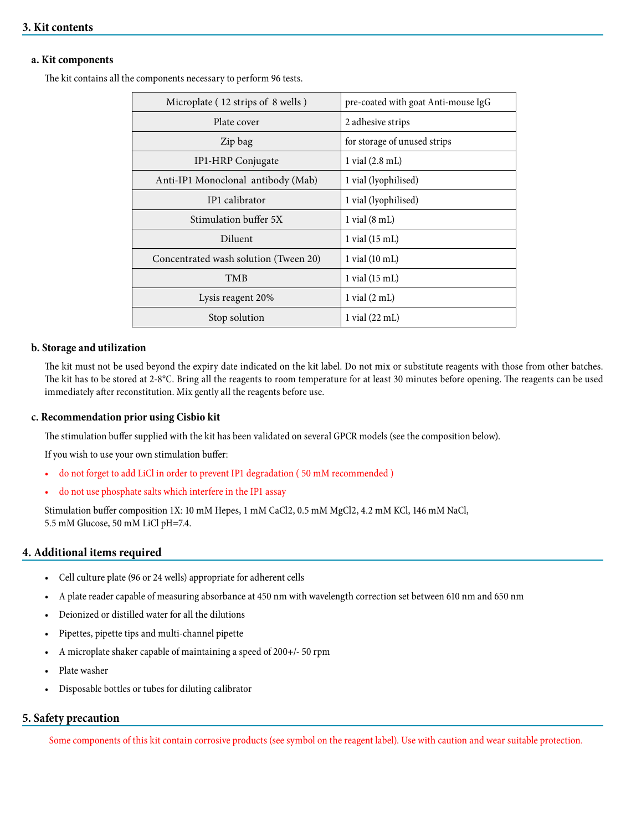## **3. Kit contents**

#### **a. Kit components**

The kit contains all the components necessary to perform 96 tests.

| Microplate (12 strips of 8 wells)     | pre-coated with goat Anti-mouse IgG |
|---------------------------------------|-------------------------------------|
| Plate cover                           | 2 adhesive strips                   |
| Zip bag                               | for storage of unused strips        |
| IP1-HRP Conjugate                     | $1$ vial $(2.8$ mL)                 |
| Anti-IP1 Monoclonal antibody (Mab)    | 1 vial (lyophilised)                |
| IP1 calibrator                        | 1 vial (lyophilised)                |
| Stimulation buffer 5X                 | $1$ vial $(8 \text{ mL})$           |
| Diluent                               | $1$ vial $(15 \text{ mL})$          |
| Concentrated wash solution (Tween 20) | $1$ vial $(10 \text{ mL})$          |
| <b>TMB</b>                            | 1 vial (15 mL)                      |
| Lysis reagent 20%                     | $1$ vial $(2 \text{ mL})$           |
| Stop solution                         | $1$ vial $(22 \text{ mL})$          |

#### **b. Storage and utilization**

The kit must not be used beyond the expiry date indicated on the kit label. Do not mix or substitute reagents with those from other batches. The kit has to be stored at 2-8°C. Bring all the reagents to room temperature for at least 30 minutes before opening. The reagents can be used immediately after reconstitution. Mix gently all the reagents before use.

#### **c. Recommendation prior using Cisbio kit**

The stimulation buffer supplied with the kit has been validated on several GPCR models (see the composition below).

If you wish to use your own stimulation buffer:

- do not forget to add LiCl in order to prevent IP1 degradation ( 50 mM recommended )
- do not use phosphate salts which interfere in the IP1 assay

Stimulation buffer composition 1X: 10 mM Hepes, 1 mM CaCl2, 0.5 mM MgCl2, 4.2 mM KCl, 146 mM NaCl, 5.5 mM Glucose, 50 mM LiCl pH=7.4.

#### **4. Additional items required**

- Cell culture plate (96 or 24 wells) appropriate for adherent cells
- A plate reader capable of measuring absorbance at 450 nm with wavelength correction set between 610 nm and 650 nm
- Deionized or distilled water for all the dilutions
- Pipettes, pipette tips and multi-channel pipette
- A microplate shaker capable of maintaining a speed of 200+/- 50 rpm
- Plate washer
- Disposable bottles or tubes for diluting calibrator

#### **5. Safety precaution**

Some components of this kit contain corrosive products (see symbol on the reagent label). Use with caution and wear suitable protection.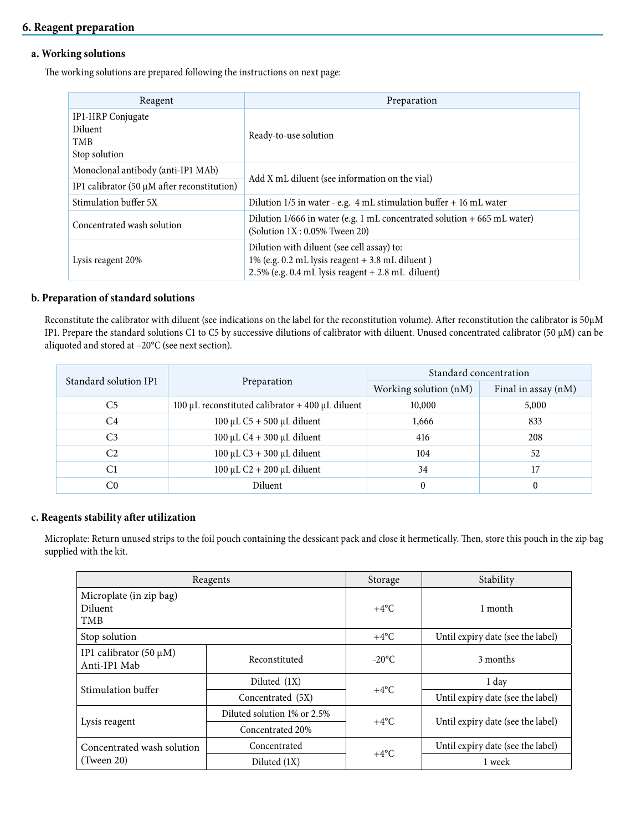## **6. Reagent preparation**

#### **a. Working solutions**

The working solutions are prepared following the instructions on next page:

| Reagent                                                                                 | Preparation                                                                                                                                                 |
|-----------------------------------------------------------------------------------------|-------------------------------------------------------------------------------------------------------------------------------------------------------------|
| <b>IP1-HRP</b> Conjugate<br>Diluent<br>TMB<br>Stop solution                             | Ready-to-use solution                                                                                                                                       |
| Monoclonal antibody (anti-IP1 MAb)<br>IP1 calibrator $(50 \mu M)$ after reconstitution) | Add X mL diluent (see information on the vial)                                                                                                              |
| Stimulation buffer 5X                                                                   | Dilution $1/5$ in water - e.g. 4 mL stimulation buffer + 16 mL water                                                                                        |
| Concentrated wash solution                                                              | Dilution 1/666 in water (e.g. 1 mL concentrated solution + 665 mL water)<br>(Solution $1X: 0.05\%$ Tween 20)                                                |
| Lysis reagent 20%                                                                       | Dilution with diluent (see cell assay) to:<br>$1\%$ (e.g. 0.2 mL lysis reagent $+3.8$ mL diluent)<br>$2.5\%$ (e.g. 0.4 mL lysis reagent $+ 2.8$ mL diluent) |

#### **b. Preparation of standard solutions**

Reconstitute the calibrator with diluent (see indications on the label for the reconstitution volume). After reconstitution the calibrator is 50µM IP1. Prepare the standard solutions C1 to C5 by successive dilutions of calibrator with diluent. Unused concentrated calibrator (50 µM) can be aliquoted and stored at –20°C (see next section).

| Standard solution IP1 |                                                    | Standard concentration |                     |  |
|-----------------------|----------------------------------------------------|------------------------|---------------------|--|
|                       | Preparation                                        | Working solution (nM)  | Final in assay (nM) |  |
| C <sub>5</sub>        | 100 µL reconstituted calibrator $+$ 400 µL diluent | 10,000                 | 5,000               |  |
| C <sub>4</sub>        | $100 \mu L C5 + 500 \mu L$ diluent                 | 1,666                  | 833                 |  |
| C <sub>3</sub>        | $100 \mu L C4 + 300 \mu L$ diluent                 | 416                    | 208                 |  |
| C <sub>2</sub>        | $100 \mu L C3 + 300 \mu L$ diluent                 | 104                    | 52                  |  |
| C1                    | $100 \mu L C2 + 200 \mu L$ diluent                 | 34                     |                     |  |
| C0                    | Diluent                                            |                        | $\theta$            |  |

## **c. Reagents stability after utilization**

Microplate: Return unused strips to the foil pouch containing the dessicant pack and close it hermetically. Then, store this pouch in the zip bag supplied with the kit.

|                                                         | Reagents                    | Storage         | Stability                         |  |
|---------------------------------------------------------|-----------------------------|-----------------|-----------------------------------|--|
| Microplate (in zip bag)<br><b>Diluent</b><br><b>TMB</b> |                             | $+4$ °C         | 1 month                           |  |
| Stop solution                                           |                             | $+4$ °C         | Until expiry date (see the label) |  |
| IP1 calibrator $(50 \mu M)$<br>Anti-IP1 Mab             | Reconstituted               | $-20^{\circ}$ C | 3 months                          |  |
| Stimulation buffer                                      | Diluted $(1X)$              | $+4$ °C         | 1 day                             |  |
|                                                         | Concentrated (5X)           |                 | Until expiry date (see the label) |  |
|                                                         | Diluted solution 1% or 2.5% | $+4$ °C         |                                   |  |
| Lysis reagent                                           | Concentrated 20%            |                 | Until expiry date (see the label) |  |
| Concentrated wash solution                              | Concentrated                | $+4$ °C         | Until expiry date (see the label) |  |
| (Tween 20)                                              | Diluted $(1X)$              |                 | 1 week                            |  |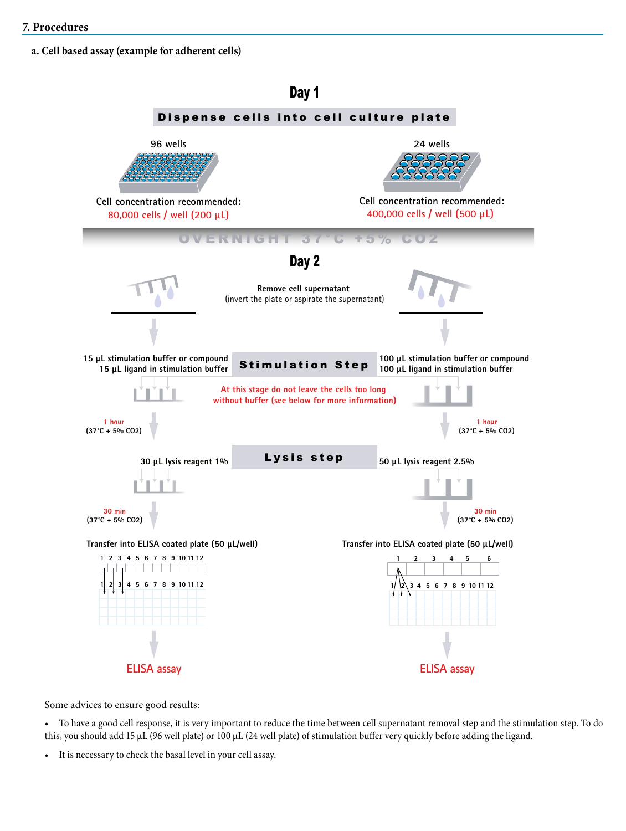**a. Cell based assay (example for adherent cells)**



Some advices to ensure good results:

• To have a good cell response, it is very important to reduce the time between cell supernatant removal step and the stimulation step. To do this, you should add 15 µL (96 well plate) or 100 µL (24 well plate) of stimulation buffer very quickly before adding the ligand.

• It is necessary to check the basal level in your cell assay.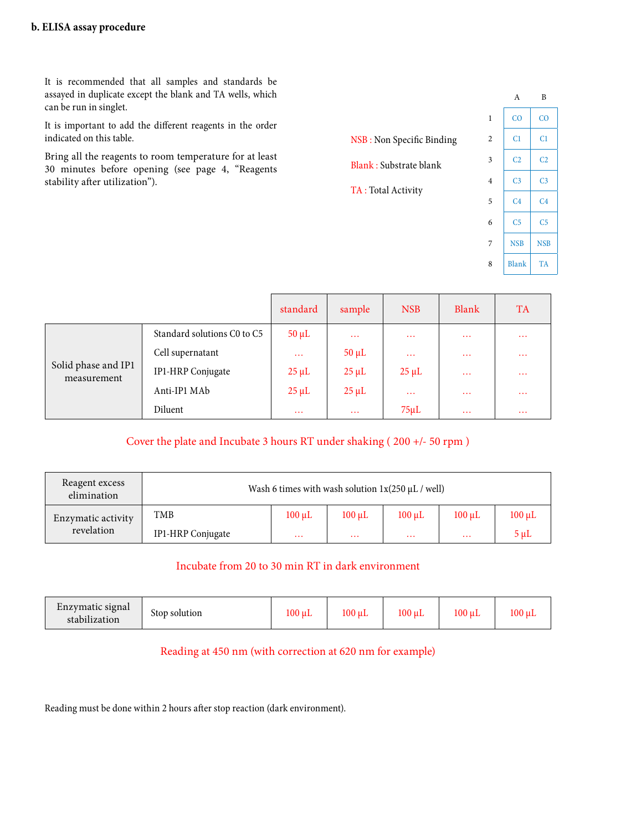It is recommended that all samples and standards be assayed in duplicate except the blank and TA wells, which can be run in singlet.

It is important to add the different reagents in the order indicated on this table.

Bring all the reagents to room temperature for at least 30 minutes before opening (see page 4, "Reagents stability after utilization").

|                           |                | A              | B              |
|---------------------------|----------------|----------------|----------------|
|                           | $\mathbf{1}$   | CO             | $_{\rm CO}$    |
| NSB: Non Specific Binding | $\overline{c}$ | C <sub>1</sub> | C1             |
| Blank: Substrate blank    | 3              | C <sub>2</sub> | C <sub>2</sub> |
| TA: Total Activity        | $\overline{4}$ | C <sub>3</sub> | C <sub>3</sub> |
|                           | 5              | C <sub>4</sub> | C <sub>4</sub> |
|                           | 6              | C <sub>5</sub> | C5             |

7 | NSB | NSB

8 Blank TA

|                                    |                             | standard   | sample     | <b>NSB</b> | Blank    | <b>TA</b> |
|------------------------------------|-----------------------------|------------|------------|------------|----------|-----------|
|                                    | Standard solutions C0 to C5 | $50 \mu L$ | $\cdots$   | $\cdots$   | $\cdots$ | $\cdots$  |
|                                    | Cell supernatant            | $\cdots$   | $50 \mu L$ | $\cdots$   | $\cdots$ | $\cdots$  |
| Solid phase and IP1<br>measurement | IP1-HRP Conjugate           | $25 \mu L$ | $25 \mu L$ | $25 \mu L$ | $\cdots$ | $\cdots$  |
|                                    | Anti-IP1 MAb                | $25 \mu L$ | $25 \mu L$ | $\cdots$   | $\cdots$ | $\cdots$  |
|                                    | Diluent                     | $\cdots$   | $\cdots$   | $75 \mu L$ | $\cdots$ | $\cdots$  |

Cover the plate and Incubate 3 hours RT under shaking ( 200 +/- 50 rpm )

| Reagent excess<br>elimination | Wash 6 times with wash solution $1x(250 \mu L /$ well) |             |             |             |             |             |
|-------------------------------|--------------------------------------------------------|-------------|-------------|-------------|-------------|-------------|
| Enzymatic activity            | TMB                                                    | $100 \mu L$ | $100 \mu L$ | $100 \mu L$ | $100 \mu L$ | $100 \mu L$ |
| revelation                    | <b>IP1-HRP</b> Conjugate                               | $\cdots$    | $\cdots$    | $\cdots$    | $\cdots$    | $5 \mu L$   |

## Incubate from 20 to 30 min RT in dark environment

| $\overline{\phantom{0}}$<br>Enzymatic signal<br>stabilization | Stop solution | $100 \mu L$ | $100 \mu L$ | $100 \mu L$ | 100 uL | 100 uL |
|---------------------------------------------------------------|---------------|-------------|-------------|-------------|--------|--------|
|---------------------------------------------------------------|---------------|-------------|-------------|-------------|--------|--------|

## Reading at 450 nm (with correction at 620 nm for example)

Reading must be done within 2 hours after stop reaction (dark environment).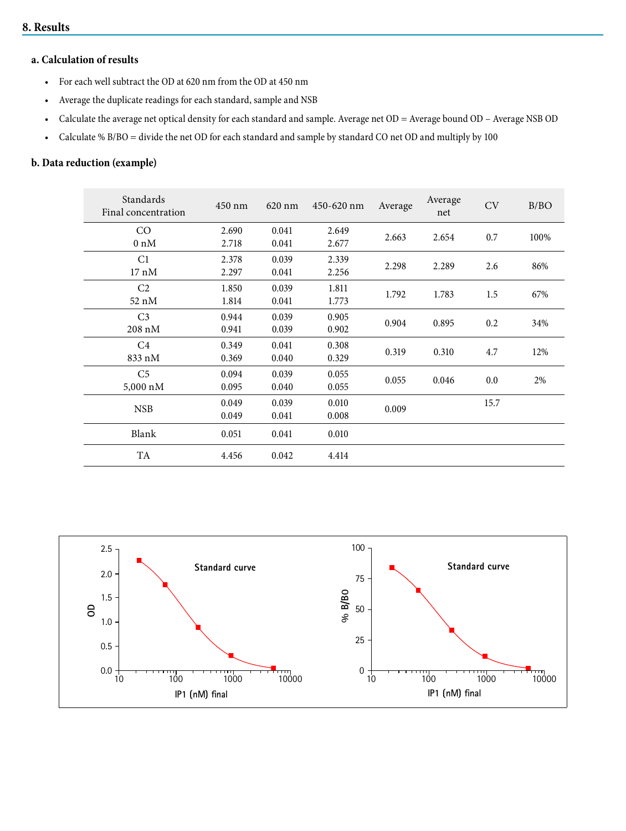#### **8. Results**

# **a. Calculation of results**

- For each well subtract the OD at 620 nm from the OD at 450 nm
- Average the duplicate readings for each standard, sample and NSB
- Calculate the average net optical density for each standard and sample. Average net OD = Average bound OD Average NSB OD
- Calculate % B/BO = divide the net OD for each standard and sample by standard CO net OD and multiply by 100

## **b. Data reduction (example)**

| Standards<br>Final concentration | 450 nm | $620$ nm | 450-620 nm | Average | Average<br>net | CV   | B/BO |
|----------------------------------|--------|----------|------------|---------|----------------|------|------|
| CO                               | 2.690  | 0.041    | 2.649      |         |                |      |      |
| $0 \text{ nM}$                   | 2.718  | 0.041    | 2.677      | 2.663   | 2.654          | 0.7  | 100% |
| C1                               | 2.378  | 0.039    | 2.339      | 2.298   | 2.289          | 2.6  | 86%  |
| $17~\mathrm{nM}$                 | 2.297  | 0.041    | 2.256      |         |                |      |      |
| C <sub>2</sub>                   | 1.850  | 0.039    | 1.811      |         |                |      |      |
| 52 nM                            | 1.814  | 0.041    | 1.773      | 1.792   | 1.783          | 1.5  | 67%  |
| C <sub>3</sub>                   | 0.944  | 0.039    | 0.905      |         |                |      |      |
| $208~\mathrm{nM}$                | 0.941  | 0.039    | 0.902      | 0.904   | 0.895          | 0.2  | 34%  |
| C <sub>4</sub>                   | 0.349  | 0.041    | 0.308      |         |                |      |      |
| 833 nM                           | 0.369  | 0.040    | 0.329      | 0.319   | 0.310          | 4.7  | 12%  |
| C <sub>5</sub>                   | 0.094  | 0.039    | 0.055      |         |                |      |      |
| 5,000 nM                         | 0.095  | 0.040    | 0.055      | 0.055   | 0.046          | 0.0  | 2%   |
|                                  | 0.049  | 0.039    | 0.010      |         |                | 15.7 |      |
| <b>NSB</b>                       | 0.049  | 0.041    | 0.008      | 0.009   |                |      |      |
| Blank                            | 0.051  | 0.041    | 0.010      |         |                |      |      |
| TA                               | 4.456  | 0.042    | 4.414      |         |                |      |      |